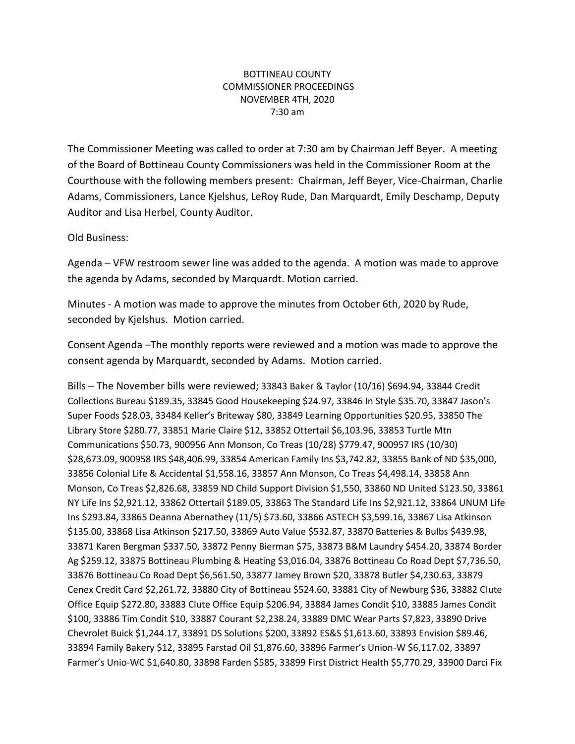## BOTTINEAU COUNTY COMMISSIONER PROCEEDINGS NOVEMBER 4TH, 2020 7:30 am

The Commissioner Meeting was called to order at 7:30 am by Chairman Jeff Beyer. A meeting of the Board of Bottineau County Commissioners was held in the Commissioner Room at the Courthouse with the following members present: Chairman, Jeff Beyer, Vice-Chairman, Charlie Adams, Commissioners, Lance Kjelshus, LeRoy Rude, Dan Marquardt, Emily Deschamp, Deputy Auditor and Lisa Herbel, County Auditor.

Old Business:

Agenda – VFW restroom sewer line was added to the agenda. A motion was made to approve the agenda by Adams, seconded by Marquardt. Motion carried.

Minutes - A motion was made to approve the minutes from October 6th, 2020 by Rude, seconded by Kjelshus. Motion carried.

Consent Agenda –The monthly reports were reviewed and a motion was made to approve the consent agenda by Marquardt, seconded by Adams. Motion carried.

Bills – The November bills were reviewed; 33843 Baker & Taylor (10/16) \$694.94, 33844 Credit Collections Bureau \$189.35, 33845 Good Housekeeping \$24.97, 33846 In Style \$35.70, 33847 Jason's Super Foods \$28.03, 33484 Keller's Briteway \$80, 33849 Learning Opportunities \$20.95, 33850 The Library Store \$280.77, 33851 Marie Claire \$12, 33852 Ottertail \$6,103.96, 33853 Turtle Mtn Communications \$50.73, 900956 Ann Monson, Co Treas (10/28) \$779.47, 900957 IRS (10/30) \$28,673.09, 900958 IRS \$48,406.99, 33854 American Family Ins \$3,742.82, 33855 Bank of ND \$35,000, 33856 Colonial Life & Accidental \$1,558.16, 33857 Ann Monson, Co Treas \$4,498.14, 33858 Ann Monson, Co Treas \$2,826.68, 33859 ND Child Support Division \$1,550, 33860 ND United \$123.50, 33861 NY Life Ins \$2,921.12, 33862 Ottertail \$189.05, 33863 The Standard Life Ins \$2,921.12, 33864 UNUM Life Ins \$293.84, 33865 Deanna Abernathey (11/5) \$73.60, 33866 ASTECH \$3,599.16, 33867 Lisa Atkinson \$135.00, 33868 Lisa Atkinson \$217.50, 33869 Auto Value \$532.87, 33870 Batteries & Bulbs \$439.98, 33871 Karen Bergman \$337.50, 33872 Penny Bierman \$75, 33873 B&M Laundry \$454.20, 33874 Border Ag \$259.12, 33875 Bottineau Plumbing & Heating \$3,016.04, 33876 Bottineau Co Road Dept \$7,736.50, 33876 Bottineau Co Road Dept \$6,561.50, 33877 Jamey Brown \$20, 33878 Butler \$4,230.63, 33879 Cenex Credit Card \$2,261.72, 33880 City of Bottineau \$524.60, 33881 City of Newburg \$36, 33882 Clute Office Equip \$272.80, 33883 Clute Office Equip \$206.94, 33884 James Condit \$10, 33885 James Condit \$100, 33886 Tim Condit \$10, 33887 Courant \$2,238.24, 33889 DMC Wear Parts \$7,823, 33890 Drive Chevrolet Buick \$1,244.17, 33891 DS Solutions \$200, 33892 ES&S \$1,613.60, 33893 Envision \$89.46, 33894 Family Bakery \$12, 33895 Farstad Oil \$1,876.60, 33896 Farmer's Union-W \$6,117.02, 33897 Farmer's Unio-WC \$1,640.80, 33898 Farden \$585, 33899 First District Health \$5,770.29, 33900 Darci Fix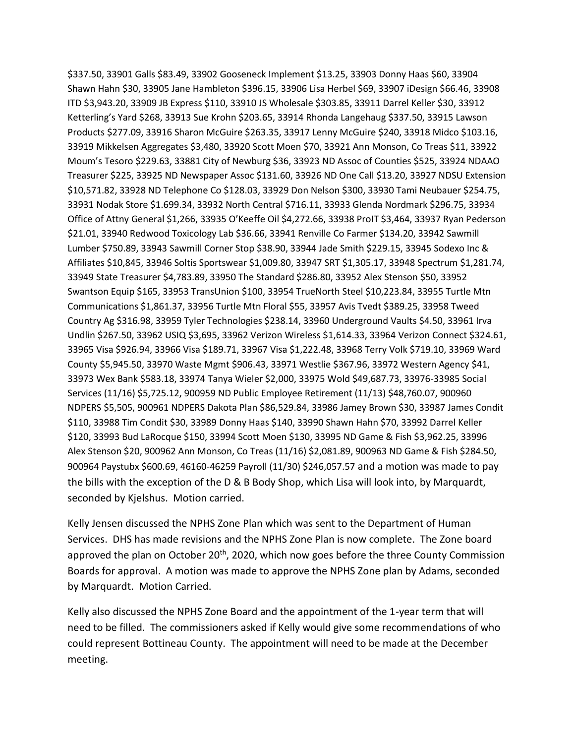\$337.50, 33901 Galls \$83.49, 33902 Gooseneck Implement \$13.25, 33903 Donny Haas \$60, 33904 Shawn Hahn \$30, 33905 Jane Hambleton \$396.15, 33906 Lisa Herbel \$69, 33907 iDesign \$66.46, 33908 ITD \$3,943.20, 33909 JB Express \$110, 33910 JS Wholesale \$303.85, 33911 Darrel Keller \$30, 33912 Ketterling's Yard \$268, 33913 Sue Krohn \$203.65, 33914 Rhonda Langehaug \$337.50, 33915 Lawson Products \$277.09, 33916 Sharon McGuire \$263.35, 33917 Lenny McGuire \$240, 33918 Midco \$103.16, 33919 Mikkelsen Aggregates \$3,480, 33920 Scott Moen \$70, 33921 Ann Monson, Co Treas \$11, 33922 Moum's Tesoro \$229.63, 33881 City of Newburg \$36, 33923 ND Assoc of Counties \$525, 33924 NDAAO Treasurer \$225, 33925 ND Newspaper Assoc \$131.60, 33926 ND One Call \$13.20, 33927 NDSU Extension \$10,571.82, 33928 ND Telephone Co \$128.03, 33929 Don Nelson \$300, 33930 Tami Neubauer \$254.75, 33931 Nodak Store \$1.699.34, 33932 North Central \$716.11, 33933 Glenda Nordmark \$296.75, 33934 Office of Attny General \$1,266, 33935 O'Keeffe Oil \$4,272.66, 33938 ProIT \$3,464, 33937 Ryan Pederson \$21.01, 33940 Redwood Toxicology Lab \$36.66, 33941 Renville Co Farmer \$134.20, 33942 Sawmill Lumber \$750.89, 33943 Sawmill Corner Stop \$38.90, 33944 Jade Smith \$229.15, 33945 Sodexo Inc & Affiliates \$10,845, 33946 Soltis Sportswear \$1,009.80, 33947 SRT \$1,305.17, 33948 Spectrum \$1,281.74, 33949 State Treasurer \$4,783.89, 33950 The Standard \$286.80, 33952 Alex Stenson \$50, 33952 Swantson Equip \$165, 33953 TransUnion \$100, 33954 TrueNorth Steel \$10,223.84, 33955 Turtle Mtn Communications \$1,861.37, 33956 Turtle Mtn Floral \$55, 33957 Avis Tvedt \$389.25, 33958 Tweed Country Ag \$316.98, 33959 Tyler Technologies \$238.14, 33960 Underground Vaults \$4.50, 33961 Irva Undlin \$267.50, 33962 USIQ \$3,695, 33962 Verizon Wireless \$1,614.33, 33964 Verizon Connect \$324.61, 33965 Visa \$926.94, 33966 Visa \$189.71, 33967 Visa \$1,222.48, 33968 Terry Volk \$719.10, 33969 Ward County \$5,945.50, 33970 Waste Mgmt \$906.43, 33971 Westlie \$367.96, 33972 Western Agency \$41, 33973 Wex Bank \$583.18, 33974 Tanya Wieler \$2,000, 33975 Wold \$49,687.73, 33976-33985 Social Services (11/16) \$5,725.12, 900959 ND Public Employee Retirement (11/13) \$48,760.07, 900960 NDPERS \$5,505, 900961 NDPERS Dakota Plan \$86,529.84, 33986 Jamey Brown \$30, 33987 James Condit \$110, 33988 Tim Condit \$30, 33989 Donny Haas \$140, 33990 Shawn Hahn \$70, 33992 Darrel Keller \$120, 33993 Bud LaRocque \$150, 33994 Scott Moen \$130, 33995 ND Game & Fish \$3,962.25, 33996 Alex Stenson \$20, 900962 Ann Monson, Co Treas (11/16) \$2,081.89, 900963 ND Game & Fish \$284.50, 900964 Paystubx \$600.69, 46160-46259 Payroll (11/30) \$246,057.57 and a motion was made to pay the bills with the exception of the D & B Body Shop, which Lisa will look into, by Marquardt, seconded by Kjelshus. Motion carried.

Kelly Jensen discussed the NPHS Zone Plan which was sent to the Department of Human Services. DHS has made revisions and the NPHS Zone Plan is now complete. The Zone board approved the plan on October  $20<sup>th</sup>$ , 2020, which now goes before the three County Commission Boards for approval. A motion was made to approve the NPHS Zone plan by Adams, seconded by Marquardt. Motion Carried.

Kelly also discussed the NPHS Zone Board and the appointment of the 1-year term that will need to be filled. The commissioners asked if Kelly would give some recommendations of who could represent Bottineau County. The appointment will need to be made at the December meeting.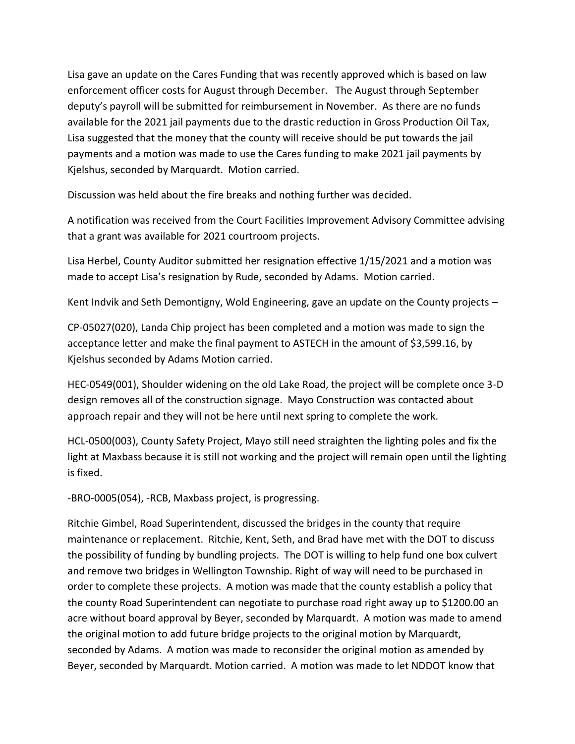Lisa gave an update on the Cares Funding that was recently approved which is based on law enforcement officer costs for August through December. The August through September deputy's payroll will be submitted for reimbursement in November. As there are no funds available for the 2021 jail payments due to the drastic reduction in Gross Production Oil Tax, Lisa suggested that the money that the county will receive should be put towards the jail payments and a motion was made to use the Cares funding to make 2021 jail payments by Kjelshus, seconded by Marquardt. Motion carried.

Discussion was held about the fire breaks and nothing further was decided.

A notification was received from the Court Facilities Improvement Advisory Committee advising that a grant was available for 2021 courtroom projects.

Lisa Herbel, County Auditor submitted her resignation effective 1/15/2021 and a motion was made to accept Lisa's resignation by Rude, seconded by Adams. Motion carried.

Kent Indvik and Seth Demontigny, Wold Engineering, gave an update on the County projects –

CP-05027(020), Landa Chip project has been completed and a motion was made to sign the acceptance letter and make the final payment to ASTECH in the amount of \$3,599.16, by Kjelshus seconded by Adams Motion carried.

HEC-0549(001), Shoulder widening on the old Lake Road, the project will be complete once 3-D design removes all of the construction signage. Mayo Construction was contacted about approach repair and they will not be here until next spring to complete the work.

HCL-0500(003), County Safety Project, Mayo still need straighten the lighting poles and fix the light at Maxbass because it is still not working and the project will remain open until the lighting is fixed.

-BRO-0005(054), -RCB, Maxbass project, is progressing.

Ritchie Gimbel, Road Superintendent, discussed the bridges in the county that require maintenance or replacement. Ritchie, Kent, Seth, and Brad have met with the DOT to discuss the possibility of funding by bundling projects. The DOT is willing to help fund one box culvert and remove two bridges in Wellington Township. Right of way will need to be purchased in order to complete these projects. A motion was made that the county establish a policy that the county Road Superintendent can negotiate to purchase road right away up to \$1200.00 an acre without board approval by Beyer, seconded by Marquardt. A motion was made to amend the original motion to add future bridge projects to the original motion by Marquardt, seconded by Adams. A motion was made to reconsider the original motion as amended by Beyer, seconded by Marquardt. Motion carried. A motion was made to let NDDOT know that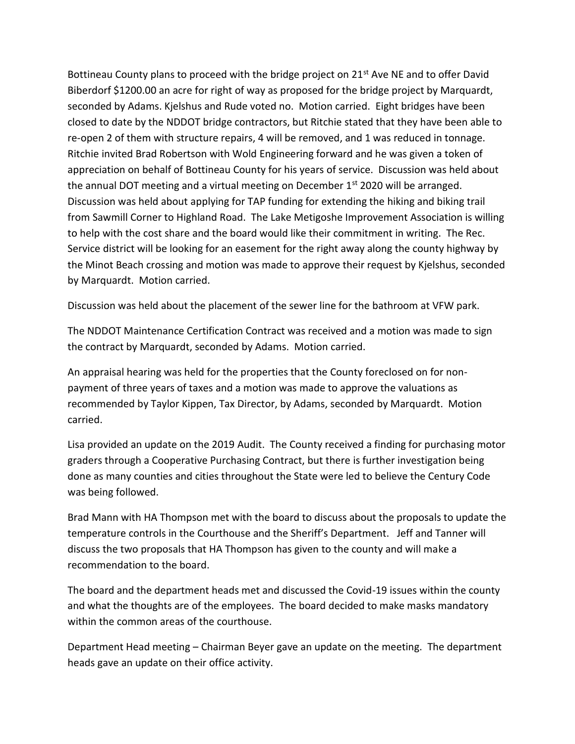Bottineau County plans to proceed with the bridge project on  $21^{st}$  Ave NE and to offer David Biberdorf \$1200.00 an acre for right of way as proposed for the bridge project by Marquardt, seconded by Adams. Kjelshus and Rude voted no. Motion carried. Eight bridges have been closed to date by the NDDOT bridge contractors, but Ritchie stated that they have been able to re-open 2 of them with structure repairs, 4 will be removed, and 1 was reduced in tonnage. Ritchie invited Brad Robertson with Wold Engineering forward and he was given a token of appreciation on behalf of Bottineau County for his years of service. Discussion was held about the annual DOT meeting and a virtual meeting on December  $1<sup>st</sup>$  2020 will be arranged. Discussion was held about applying for TAP funding for extending the hiking and biking trail from Sawmill Corner to Highland Road. The Lake Metigoshe Improvement Association is willing to help with the cost share and the board would like their commitment in writing. The Rec. Service district will be looking for an easement for the right away along the county highway by the Minot Beach crossing and motion was made to approve their request by Kjelshus, seconded by Marquardt. Motion carried.

Discussion was held about the placement of the sewer line for the bathroom at VFW park.

The NDDOT Maintenance Certification Contract was received and a motion was made to sign the contract by Marquardt, seconded by Adams. Motion carried.

An appraisal hearing was held for the properties that the County foreclosed on for nonpayment of three years of taxes and a motion was made to approve the valuations as recommended by Taylor Kippen, Tax Director, by Adams, seconded by Marquardt. Motion carried.

Lisa provided an update on the 2019 Audit. The County received a finding for purchasing motor graders through a Cooperative Purchasing Contract, but there is further investigation being done as many counties and cities throughout the State were led to believe the Century Code was being followed.

Brad Mann with HA Thompson met with the board to discuss about the proposals to update the temperature controls in the Courthouse and the Sheriff's Department. Jeff and Tanner will discuss the two proposals that HA Thompson has given to the county and will make a recommendation to the board.

The board and the department heads met and discussed the Covid-19 issues within the county and what the thoughts are of the employees. The board decided to make masks mandatory within the common areas of the courthouse.

Department Head meeting – Chairman Beyer gave an update on the meeting. The department heads gave an update on their office activity.